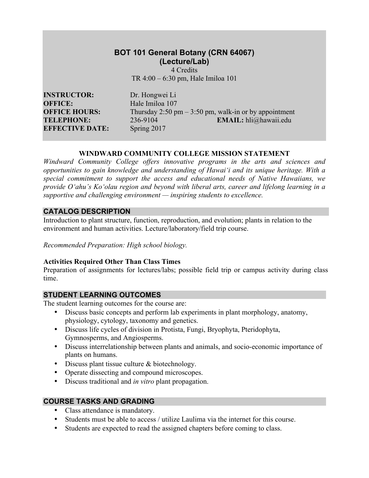# **BOT 101 General Botany (CRN 64067) (Lecture/Lab)**

4 Credits TR 4:00 – 6:30 pm, Hale Imiloa 101

**INSTRUCTOR:** Dr. Hongwei Li **OFFICE:** Hale Imiloa 107 **EFFECTIVE DATE:** Spring 2017

**OFFICE HOURS:** Thursday 2:50 pm – 3:50 pm, walk-in or by appointment **TELEPHONE:** 236-9104 **EMAIL:** hli@hawaii.edu

#### **WINDWARD COMMUNITY COLLEGE MISSION STATEMENT**

*Windward Community College offers innovative programs in the arts and sciences and opportunities to gain knowledge and understanding of Hawai'i and its unique heritage. With a special commitment to support the access and educational needs of Native Hawaiians, we provide O'ahu's Ko'olau region and beyond with liberal arts, career and lifelong learning in a supportive and challenging environment — inspiring students to excellence.*

### **CATALOG DESCRIPTION**

Introduction to plant structure, function, reproduction, and evolution; plants in relation to the environment and human activities. Lecture/laboratory/field trip course.

*Recommended Preparation: High school biology.*

# **Activities Required Other Than Class Times**

Preparation of assignments for lectures/labs; possible field trip or campus activity during class time.

# **STUDENT LEARNING OUTCOMES**

The student learning outcomes for the course are:

- Discuss basic concepts and perform lab experiments in plant morphology, anatomy, physiology, cytology, taxonomy and genetics.
- Discuss life cycles of division in Protista, Fungi, Bryophyta, Pteridophyta, Gymnosperms, and Angiosperms.
- Discuss interrelationship between plants and animals, and socio-economic importance of plants on humans.
- Discuss plant tissue culture & biotechnology.
- Operate dissecting and compound microscopes.
- Discuss traditional and *in vitro* plant propagation.

# **COURSE TASKS AND GRADING**

- Class attendance is mandatory.
- Students must be able to access / utilize Laulima via the internet for this course.
- Students are expected to read the assigned chapters before coming to class.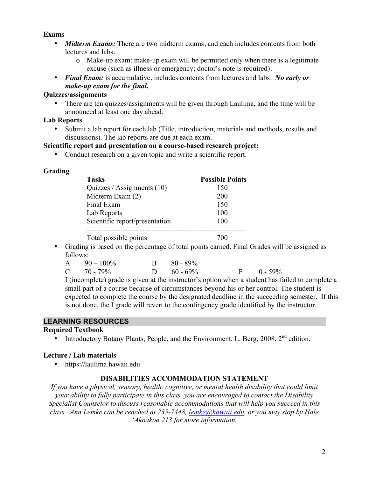### **Exams**

- *Midterm Exams:* There are two midterm exams, and each includes contents from both lectures and labs.
	- o Make-up exam: make-up exam will be permitted only when there is a legitimate excuse (such as illness or emergency; doctor's note is required).
- *Final Exam:* is accumulative, includes contents from lectures and labs. *No early or make-up exam for the final.*

### **Quizzes/assignments**

• There are ten quizzes/assignments will be given through Laulima, and the time will be announced at least one day ahead.

### **Lab Reports**

• Submit a lab report for each lab (Title, introduction, materials and methods, results and discussions). The lab reports are due at each exam.

# **Scientific report and presentation on a course-based research project:**

• Conduct research on a given topic and write a scientific report.

### **Grading**

| <b>Tasks</b>                   | <b>Possible Points</b> |
|--------------------------------|------------------------|
| Quizzes / Assignments $(10)$   | 150                    |
| Midterm Exam (2)               | 200                    |
| Final Exam                     | 150                    |
| Lab Reports                    | 100                    |
| Scientific report/presentation | 100                    |
|                                |                        |
| Total possible points          | 700                    |

• Grading is based on the percentage of total points earned. Final Grades will be assigned as follows:

| $A = 90 - 100\%$ | $B = 80 - 89\%$ |                |
|------------------|-----------------|----------------|
| $C = 70 - 79\%$  | D $60 - 69\%$   | $F = 0 - 59\%$ |

I (incomplete) grade is given at the instructor's option when a student has failed to complete a small part of a course because of circumstances beyond his or her control. The student is expected to complete the course by the designated deadline in the succeeding semester. If this is not done, the I grade will revert to the contingency grade identified by the instructor.

# **LEARNING RESOURCES**

#### **Required Textbook**

• Introductory Botany Plants, People, and the Environment. L. Berg,  $2008$ ,  $2<sup>nd</sup>$  edition.

# **Lecture / Lab materials**

• https://laulima.hawaii.edu

# **DISABILITIES ACCOMMODATION STATEMENT**

*If you have a physical, sensory, health, cognitive, or mental health disability that could limit your ability to fully participate in this class, you are encouraged to contact the Disability Specialist Counselor to discuss reasonable accommodations that will help you succeed in this class. Ann Lemke can be reached at 235-7448, lemke@hawaii.edu, or you may stop by Hale 'Akoakoa 213 for more information.*